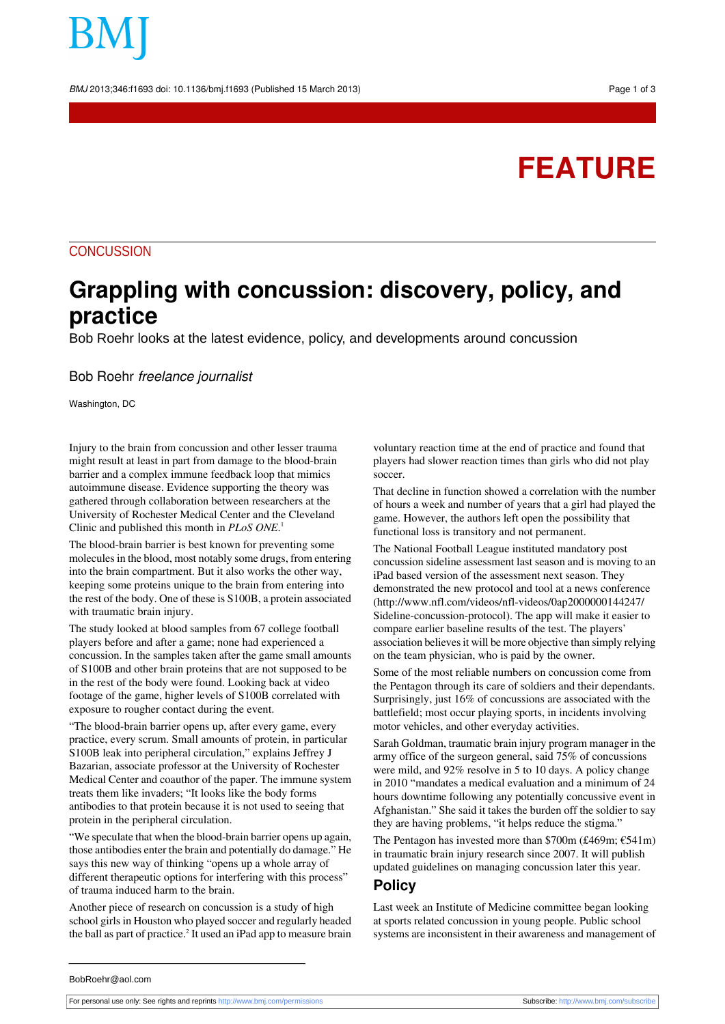BMJ 2013;346:f1693 doi: 10.1136/bmj.f1693 (Published 15 March 2013) Page 1 of 3

# **FEATURE**

### **CONCUSSION**

## **Grappling with concussion: discovery, policy, and practice**

Bob Roehr looks at the latest evidence, policy, and developments around concussion

#### Bob Roehr freelance journalist

Washington, DC

Injury to the brain from concussion and other lesser trauma might result at least in part from damage to the blood-brain barrier and a complex immune feedback loop that mimics autoimmune disease. Evidence supporting the theory was gathered through collaboration between researchers at the University of Rochester Medical Center and the Cleveland Clinic and published this month in *PLoS ONE*. 1

The blood-brain barrier is best known for preventing some molecules in the blood, most notably some drugs, from entering into the brain compartment. But it also works the other way, keeping some proteins unique to the brain from entering into the rest of the body. One of these is S100B, a protein associated with traumatic brain injury.

The study looked at blood samples from 67 college football players before and after a game; none had experienced a concussion. In the samples taken after the game small amounts of S100B and other brain proteins that are not supposed to be in the rest of the body were found. Looking back at video footage of the game, higher levels of S100B correlated with exposure to rougher contact during the event.

"The blood-brain barrier opens up, after every game, every practice, every scrum. Small amounts of protein, in particular S100B leak into peripheral circulation," explains Jeffrey J Bazarian, associate professor at the University of Rochester Medical Center and coauthor of the paper. The immune system treats them like invaders; "It looks like the body forms antibodies to that protein because it is not used to seeing that protein in the peripheral circulation.

"We speculate that when the blood-brain barrier opens up again, those antibodies enter the brain and potentially do damage." He says this new way of thinking "opens up a whole array of different therapeutic options for interfering with this process" of trauma induced harm to the brain.

Another piece of research on concussion is a study of high school girls in Houston who played soccer and regularly headed the ball as part of practice. $^2$  It used an iPad app to measure brain

voluntary reaction time at the end of practice and found that players had slower reaction times than girls who did not play soccer.

That decline in function showed a correlation with the number of hours a week and number of years that a girl had played the game. However, the authors left open the possibility that functional loss is transitory and not permanent.

The National Football League instituted mandatory post concussion sideline assessment last season and is moving to an iPad based version of the assessment next season. They demonstrated the new protocol and tool at a news conference ([http://www.nfl.com/videos/nfl-videos/0ap2000000144247/](http://www.nfl.com/videos/nfl-videos/0ap2000000144247/Sideline-concussion-protocol) [Sideline-concussion-protocol\)](http://www.nfl.com/videos/nfl-videos/0ap2000000144247/Sideline-concussion-protocol). The app will make it easier to compare earlier baseline results of the test. The players' association believes it will be more objective than simply relying on the team physician, who is paid by the owner.

Some of the most reliable numbers on concussion come from the Pentagon through its care of soldiers and their dependants. Surprisingly, just 16% of concussions are associated with the battlefield; most occur playing sports, in incidents involving motor vehicles, and other everyday activities.

Sarah Goldman, traumatic brain injury program manager in the army office of the surgeon general, said 75% of concussions were mild, and 92% resolve in 5 to 10 days. A policy change in 2010 "mandates a medical evaluation and a minimum of 24 hours downtime following any potentially concussive event in Afghanistan." She said it takes the burden off the soldier to say they are having problems, "it helps reduce the stigma."

The Pentagon has invested more than \$700m (£469m;  $\epsilon$ 541m) in traumatic brain injury research since 2007. It will publish updated guidelines on managing concussion later this year.

#### **Policy**

Last week an Institute of Medicine committee began looking at sports related concussion in young people. Public school systems are inconsistent in their awareness and management of

BobRoehr@aol.com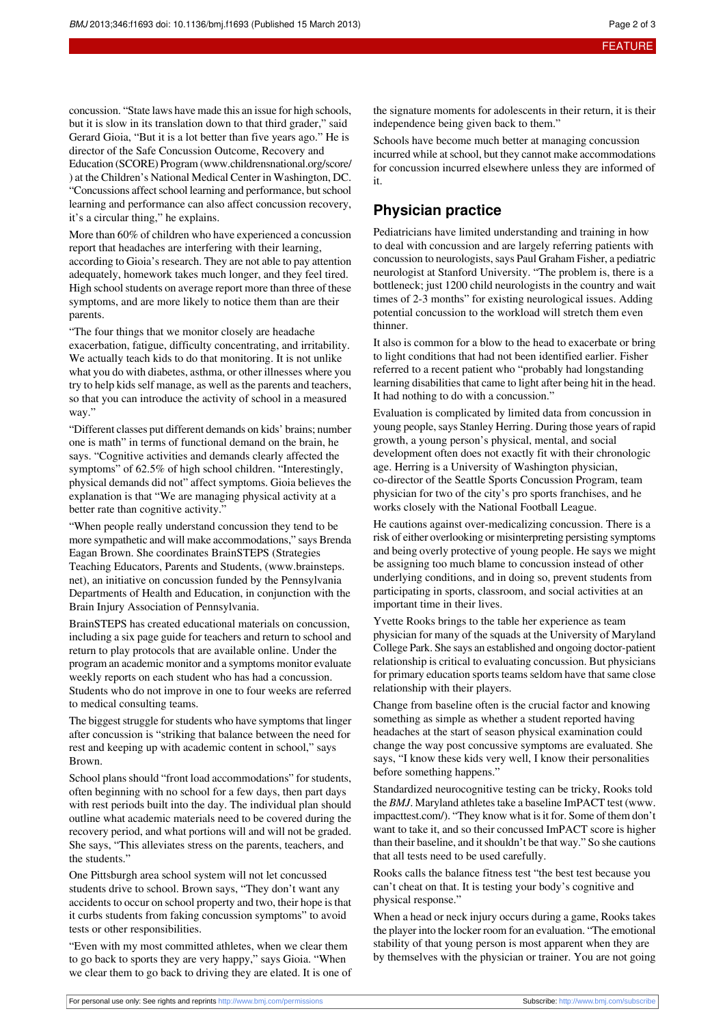concussion. "State laws have made this an issue for high schools, but it is slow in its translation down to that third grader," said Gerard Gioia, "But it is a lot better than five years ago." He is director of the Safe Concussion Outcome, Recovery and Education (SCORE) Program [\(www.childrensnational.org/score/](http://www.childrensnational.org/score/) ) at the Children's National Medical Center in Washington, DC. "Concussions affect school learning and performance, but school learning and performance can also affect concussion recovery, it's a circular thing," he explains.

More than 60% of children who have experienced a concussion report that headaches are interfering with their learning, according to Gioia's research. They are not able to pay attention adequately, homework takes much longer, and they feel tired. High school students on average report more than three of these symptoms, and are more likely to notice them than are their parents.

"The four things that we monitor closely are headache exacerbation, fatigue, difficulty concentrating, and irritability. We actually teach kids to do that monitoring. It is not unlike what you do with diabetes, asthma, or other illnesses where you try to help kids self manage, as well as the parents and teachers, so that you can introduce the activity of school in a measured way."

"Different classes put different demands on kids' brains; number one is math" in terms of functional demand on the brain, he says. "Cognitive activities and demands clearly affected the symptoms" of 62.5% of high school children. "Interestingly, physical demands did not" affect symptoms. Gioia believes the explanation is that "We are managing physical activity at a better rate than cognitive activity."

"When people really understand concussion they tend to be more sympathetic and will make accommodations," says Brenda Eagan Brown. She coordinates BrainSTEPS (Strategies Teaching Educators, Parents and Students, ([www.brainsteps.](http://www.brainsteps.net/) [net](http://www.brainsteps.net/)), an initiative on concussion funded by the Pennsylvania Departments of Health and Education, in conjunction with the Brain Injury Association of Pennsylvania.

BrainSTEPS has created educational materials on concussion, including a six page guide for teachers and return to school and return to play protocols that are available online. Under the program an academic monitor and a symptoms monitor evaluate weekly reports on each student who has had a concussion. Students who do not improve in one to four weeks are referred to medical consulting teams.

The biggest struggle for students who have symptoms that linger after concussion is "striking that balance between the need for rest and keeping up with academic content in school," says Brown.

School plans should "front load accommodations" for students, often beginning with no school for a few days, then part days with rest periods built into the day. The individual plan should outline what academic materials need to be covered during the recovery period, and what portions will and will not be graded. She says, "This alleviates stress on the parents, teachers, and the students."

One Pittsburgh area school system will not let concussed students drive to school. Brown says, "They don't want any accidents to occur on school property and two, their hope is that it curbs students from faking concussion symptoms" to avoid tests or other responsibilities.

"Even with my most committed athletes, when we clear them to go back to sports they are very happy," says Gioia. "When we clear them to go back to driving they are elated. It is one of the signature moments for adolescents in their return, it is their independence being given back to them."

Schools have become much better at managing concussion incurred while atschool, but they cannot make accommodations for concussion incurred elsewhere unless they are informed of it.

#### **Physician practice**

Pediatricians have limited understanding and training in how to deal with concussion and are largely referring patients with concussion to neurologists, says Paul Graham Fisher, a pediatric neurologist at Stanford University. "The problem is, there is a bottleneck; just 1200 child neurologists in the country and wait times of 2-3 months" for existing neurological issues. Adding potential concussion to the workload will stretch them even thinner.

It also is common for a blow to the head to exacerbate or bring to light conditions that had not been identified earlier. Fisher referred to a recent patient who "probably had longstanding learning disabilities that came to light after being hit in the head. It had nothing to do with a concussion."

Evaluation is complicated by limited data from concussion in young people, says Stanley Herring. During those years of rapid growth, a young person's physical, mental, and social development often does not exactly fit with their chronologic age. Herring is a University of Washington physician, co-director of the Seattle Sports Concussion Program, team physician for two of the city's pro sports franchises, and he works closely with the National Football League.

He cautions against over-medicalizing concussion. There is a risk of either overlooking or misinterpreting persisting symptoms and being overly protective of young people. He says we might be assigning too much blame to concussion instead of other underlying conditions, and in doing so, prevent students from participating in sports, classroom, and social activities at an important time in their lives.

Yvette Rooks brings to the table her experience as team physician for many of the squads at the University of Maryland College Park. She says an established and ongoing doctor-patient relationship is critical to evaluating concussion. But physicians for primary education sports teams seldom have that same close relationship with their players.

Change from baseline often is the crucial factor and knowing something as simple as whether a student reported having headaches at the start of season physical examination could change the way post concussive symptoms are evaluated. She says, "I know these kids very well, I know their personalities before something happens."

Standardized neurocognitive testing can be tricky, Rooks told the *BMJ*. Maryland athletes take a baseline ImPACT test [\(www.](http://www.impacttest.com/) [impacttest.com/\)](http://www.impacttest.com/). "They know what is it for. Some of them don't want to take it, and so their concussed ImPACT score is higher than their baseline, and it shouldn't be that way." So she cautions that all tests need to be used carefully.

Rooks calls the balance fitness test "the best test because you can't cheat on that. It is testing your body's cognitive and physical response."

When a head or neck injury occurs during a game, Rooks takes the player into the locker room for an evaluation. "The emotional stability of that young person is most apparent when they are by themselves with the physician or trainer. You are not going